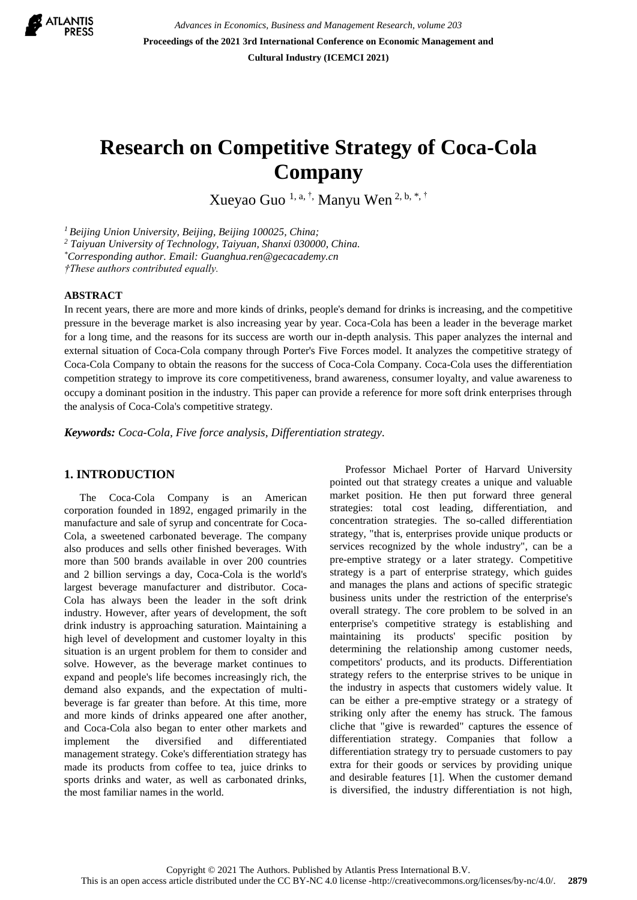

*Advances in Economics, Business and Management Research, volume 203* **Proceedings of the 2021 3rd International Conference on Economic Management and Cultural Industry (ICEMCI 2021)**

# **Research on Competitive Strategy of Coca-Cola Company**

Xueyao Guo 1, a, †, Manyu Wen 2, b, \*, †

*<sup>1</sup>Beijing Union University, Beijing, Beijing 100025, China;*

*<sup>2</sup> Taiyuan University of Technology, Taiyuan, Shanxi 030000, China.*

*\*Corresponding author. Email: Guanghua.ren@gecacademy.cn*

*†These authors contributed equally.*

## **ABSTRACT**

In recent years, there are more and more kinds of drinks, people's demand for drinks is increasing, and the competitive pressure in the beverage market is also increasing year by year. Coca-Cola has been a leader in the beverage market for a long time, and the reasons for its success are worth our in-depth analysis. This paper analyzes the internal and external situation of Coca-Cola company through Porter's Five Forces model. It analyzes the competitive strategy of Coca-Cola Company to obtain the reasons for the success of Coca-Cola Company. Coca-Cola uses the differentiation competition strategy to improve its core competitiveness, brand awareness, consumer loyalty, and value awareness to occupy a dominant position in the industry. This paper can provide a reference for more soft drink enterprises through the analysis of Coca-Cola's competitive strategy.

*Keywords: Coca-Cola, Five force analysis, Differentiation strategy.*

# **1. INTRODUCTION**

The Coca-Cola Company is an American corporation founded in 1892, engaged primarily in the manufacture and sale of syrup and concentrate for Coca-Cola, a sweetened carbonated beverage. The company also produces and sells other finished beverages. With more than 500 brands available in over 200 countries and 2 billion servings a day, Coca-Cola is the world's largest beverage manufacturer and distributor. Coca-Cola has always been the leader in the soft drink industry. However, after years of development, the soft drink industry is approaching saturation. Maintaining a high level of development and customer loyalty in this situation is an urgent problem for them to consider and solve. However, as the beverage market continues to expand and people's life becomes increasingly rich, the demand also expands, and the expectation of multibeverage is far greater than before. At this time, more and more kinds of drinks appeared one after another, and Coca-Cola also began to enter other markets and implement the diversified and differentiated management strategy. Coke's differentiation strategy has made its products from coffee to tea, juice drinks to sports drinks and water, as well as carbonated drinks, the most familiar names in the world.

Professor Michael Porter of Harvard University pointed out that strategy creates a unique and valuable market position. He then put forward three general strategies: total cost leading, differentiation, and concentration strategies. The so-called differentiation strategy, "that is, enterprises provide unique products or services recognized by the whole industry", can be a pre-emptive strategy or a later strategy. Competitive strategy is a part of enterprise strategy, which guides and manages the plans and actions of specific strategic business units under the restriction of the enterprise's overall strategy. The core problem to be solved in an enterprise's competitive strategy is establishing and maintaining its products' specific position by determining the relationship among customer needs, competitors' products, and its products. Differentiation strategy refers to the enterprise strives to be unique in the industry in aspects that customers widely value. It can be either a pre-emptive strategy or a strategy of striking only after the enemy has struck. The famous cliche that "give is rewarded" captures the essence of differentiation strategy. Companies that follow a differentiation strategy try to persuade customers to pay extra for their goods or services by providing unique and desirable features [1]. When the customer demand is diversified, the industry differentiation is not high,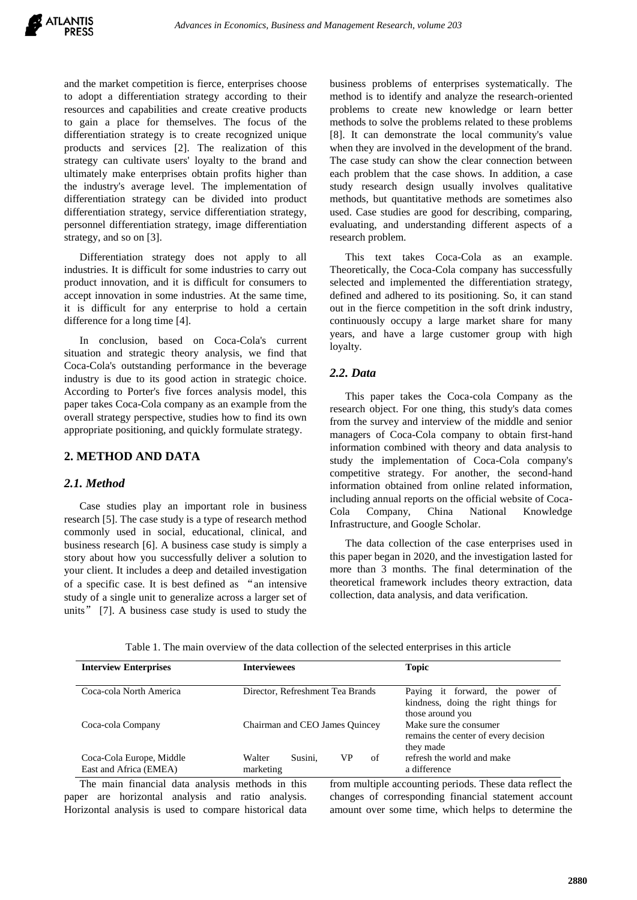and the market competition is fierce, enterprises choose to adopt a differentiation strategy according to their resources and capabilities and create creative products to gain a place for themselves. The focus of the differentiation strategy is to create recognized unique products and services [2]. The realization of this strategy can cultivate users' loyalty to the brand and ultimately make enterprises obtain profits higher than the industry's average level. The implementation of differentiation strategy can be divided into product differentiation strategy, service differentiation strategy, personnel differentiation strategy, image differentiation strategy, and so on [3].

Differentiation strategy does not apply to all industries. It is difficult for some industries to carry out product innovation, and it is difficult for consumers to accept innovation in some industries. At the same time, it is difficult for any enterprise to hold a certain difference for a long time [4].

In conclusion, based on Coca-Cola's current situation and strategic theory analysis, we find that Coca-Cola's outstanding performance in the beverage industry is due to its good action in strategic choice. According to Porter's five forces analysis model, this paper takes Coca-Cola company as an example from the overall strategy perspective, studies how to find its own appropriate positioning, and quickly formulate strategy.

# **2. METHOD AND DATA**

## *2.1. Method*

Case studies play an important role in business research [5]. The case study is a type of research method commonly used in social, educational, clinical, and business research [6]. A business case study is simply a story about how you successfully deliver a solution to your client. It includes a deep and detailed investigation of a specific case. It is best defined as "an intensive study of a single unit to generalize across a larger set of units" [7]. A business case study is used to study the

business problems of enterprises systematically. The method is to identify and analyze the research-oriented problems to create new knowledge or learn better methods to solve the problems related to these problems [8]. It can demonstrate the local community's value when they are involved in the development of the brand. The case study can show the clear connection between each problem that the case shows. In addition, a case study research design usually involves qualitative methods, but quantitative methods are sometimes also used. Case studies are good for describing, comparing, evaluating, and understanding different aspects of a research problem.

This text takes Coca-Cola as an example. Theoretically, the Coca-Cola company has successfully selected and implemented the differentiation strategy, defined and adhered to its positioning. So, it can stand out in the fierce competition in the soft drink industry, continuously occupy a large market share for many years, and have a large customer group with high loyalty.

# *2.2. Data*

This paper takes the Coca-cola Company as the research object. For one thing, this study's data comes from the survey and interview of the middle and senior managers of Coca-Cola company to obtain first-hand information combined with theory and data analysis to study the implementation of Coca-Cola company's competitive strategy. For another, the second-hand information obtained from online related information, including annual reports on the official website of Coca-Cola Company, China National Knowledge Infrastructure, and Google Scholar.

The data collection of the case enterprises used in this paper began in 2020, and the investigation lasted for more than 3 months. The final determination of the theoretical framework includes theory extraction, data collection, data analysis, and data verification.

| <b>Interview Enterprises</b>                       | <b>Interviewees</b>                        | <b>Topic</b>                                                                                |
|----------------------------------------------------|--------------------------------------------|---------------------------------------------------------------------------------------------|
| Coca-cola North America                            | Director, Refreshment Tea Brands           | Paying it forward, the power of<br>kindness, doing the right things for<br>those around you |
| Coca-cola Company                                  | Chairman and CEO James Quincey             | Make sure the consumer<br>remains the center of every decision<br>they made                 |
| Coca-Cola Europe, Middle<br>East and Africa (EMEA) | of<br>Walter<br>Susini.<br>VР<br>marketing | refresh the world and make<br>a difference                                                  |

Table 1. The main overview of the data collection of the selected enterprises in this article

The main financial data analysis methods in this paper are horizontal analysis and ratio analysis. Horizontal analysis is used to compare historical data from multiple accounting periods. These data reflect the changes of corresponding financial statement account amount over some time, which helps to determine the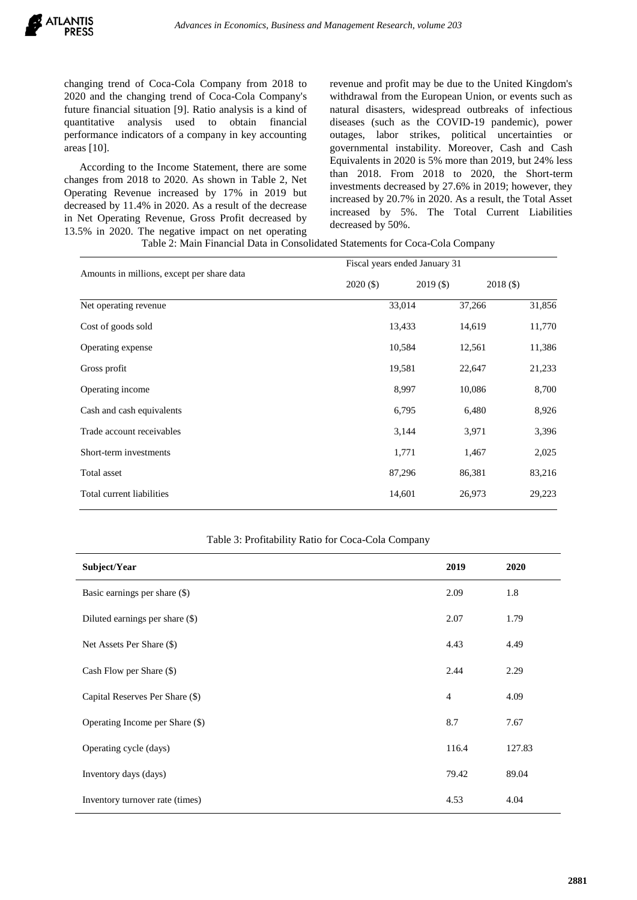changing trend of Coca-Cola Company from 2018 to 2020 and the changing trend of Coca-Cola Company's future financial situation [9]. Ratio analysis is a kind of quantitative analysis used to obtain financial performance indicators of a company in key accounting areas [10].

According to the Income Statement, there are some changes from 2018 to 2020. As shown in Table 2, Net Operating Revenue increased by 17% in 2019 but decreased by 11.4% in 2020. As a result of the decrease in Net Operating Revenue, Gross Profit decreased by 13.5% in 2020. The negative impact on net operating revenue and profit may be due to the United Kingdom's withdrawal from the European Union, or events such as natural disasters, widespread outbreaks of infectious diseases (such as the COVID-19 pandemic), power outages, labor strikes, political uncertainties or governmental instability. Moreover, Cash and Cash Equivalents in 2020 is 5% more than 2019, but 24% less than 2018. From 2018 to 2020, the Short-term investments decreased by 27.6% in 2019; however, they increased by 20.7% in 2020. As a result, the Total Asset increased by 5%. The Total Current Liabilities decreased by 50%.

Table 2: Main Financial Data in Consolidated Statements for Coca-Cola Company

|                                            | Fiscal years ended January 31 |             |             |  |
|--------------------------------------------|-------------------------------|-------------|-------------|--|
| Amounts in millions, except per share data | $2020($ \$)                   | $2019($ \$) | $2018($ \$) |  |
| Net operating revenue                      | 33,014                        | 37,266      | 31,856      |  |
| Cost of goods sold                         | 13,433                        | 14,619      | 11,770      |  |
| Operating expense                          | 10,584                        | 12,561      | 11,386      |  |
| Gross profit                               | 19,581                        | 22,647      | 21,233      |  |
| Operating income                           | 8,997                         | 10,086      | 8,700       |  |
| Cash and cash equivalents                  | 6,795                         | 6,480       | 8,926       |  |
| Trade account receivables                  | 3,144                         | 3,971       | 3,396       |  |
| Short-term investments                     | 1,771                         | 1,467       | 2,025       |  |
| Total asset                                | 87,296                        | 86,381      | 83,216      |  |
| Total current liabilities                  | 14,601                        | 26,973      | 29,223      |  |

## Table 3: Profitability Ratio for Coca-Cola Company

| Subject/Year                    | 2019           | 2020   |
|---------------------------------|----------------|--------|
| Basic earnings per share (\$)   | 2.09           | 1.8    |
| Diluted earnings per share (\$) | 2.07           | 1.79   |
| Net Assets Per Share (\$)       | 4.43           | 4.49   |
| Cash Flow per Share (\$)        | 2.44           | 2.29   |
| Capital Reserves Per Share (\$) | $\overline{4}$ | 4.09   |
| Operating Income per Share (\$) | 8.7            | 7.67   |
| Operating cycle (days)          | 116.4          | 127.83 |
| Inventory days (days)           | 79.42          | 89.04  |
| Inventory turnover rate (times) | 4.53           | 4.04   |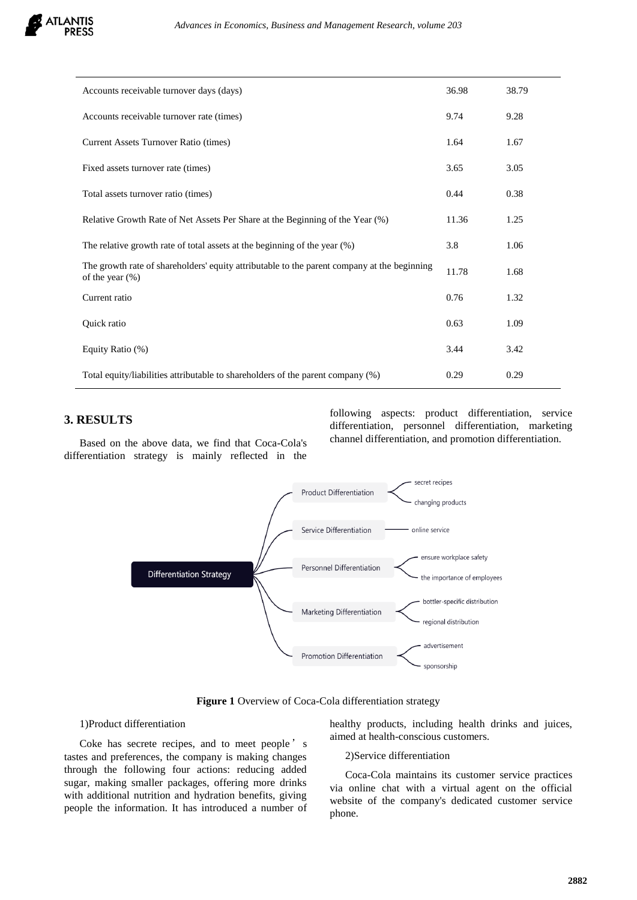

| Accounts receivable turnover days (days)                                                                          | 36.98 | 38.79 |
|-------------------------------------------------------------------------------------------------------------------|-------|-------|
| Accounts receivable turnover rate (times)                                                                         | 9.74  | 9.28  |
| Current Assets Turnover Ratio (times)                                                                             | 1.64  | 1.67  |
| Fixed assets turnover rate (times)                                                                                | 3.65  | 3.05  |
| Total assets turnover ratio (times)                                                                               | 0.44  | 0.38  |
| Relative Growth Rate of Net Assets Per Share at the Beginning of the Year (%)                                     | 11.36 | 1.25  |
| The relative growth rate of total assets at the beginning of the year (%)                                         | 3.8   | 1.06  |
| The growth rate of shareholders' equity attributable to the parent company at the beginning<br>of the year $(\%)$ | 11.78 | 1.68  |
| Current ratio                                                                                                     | 0.76  | 1.32  |
| Quick ratio                                                                                                       | 0.63  | 1.09  |
| Equity Ratio (%)                                                                                                  | 3.44  | 3.42  |
| Total equity/liabilities attributable to shareholders of the parent company (%)                                   | 0.29  | 0.29  |

# **3. RESULTS**

Based on the above data, we find that Coca-Cola's differentiation strategy is mainly reflected in the

following aspects: product differentiation, service differentiation, personnel differentiation, marketing channel differentiation, and promotion differentiation.



**Figure 1** Overview of Coca-Cola differentiation strategy

# 1)Product differentiation

Coke has secrete recipes, and to meet people's tastes and preferences, the company is making changes through the following four actions: reducing added sugar, making smaller packages, offering more drinks with additional nutrition and hydration benefits, giving people the information. It has introduced a number of healthy products, including health drinks and juices, aimed at health-conscious customers.

# 2)Service differentiation

Coca-Cola maintains its customer service practices via online chat with a virtual agent on the official website of the company's dedicated customer service phone.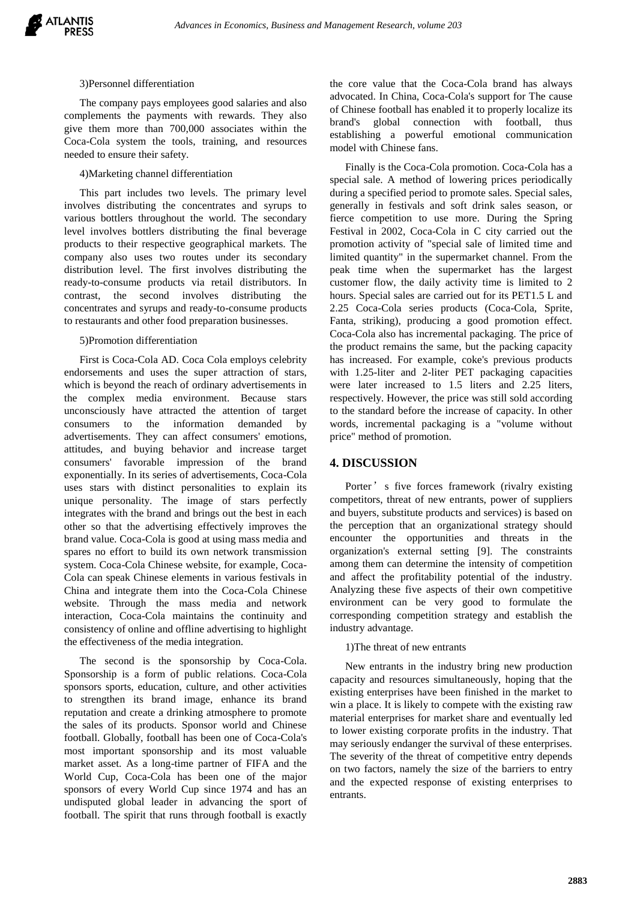

#### 3)Personnel differentiation

The company pays employees good salaries and also complements the payments with rewards. They also give them more than 700,000 associates within the Coca-Cola system the tools, training, and resources needed to ensure their safety.

#### 4)Marketing channel differentiation

This part includes two levels. The primary level involves distributing the concentrates and syrups to various bottlers throughout the world. The secondary level involves bottlers distributing the final beverage products to their respective geographical markets. The company also uses two routes under its secondary distribution level. The first involves distributing the ready-to-consume products via retail distributors. In contrast, the second involves distributing the concentrates and syrups and ready-to-consume products to restaurants and other food preparation businesses.

#### 5)Promotion differentiation

First is Coca-Cola AD. Coca Cola employs celebrity endorsements and uses the super attraction of stars, which is beyond the reach of ordinary advertisements in the complex media environment. Because stars unconsciously have attracted the attention of target consumers to the information demanded by advertisements. They can affect consumers' emotions, attitudes, and buying behavior and increase target consumers' favorable impression of the brand exponentially. In its series of advertisements, Coca-Cola uses stars with distinct personalities to explain its unique personality. The image of stars perfectly integrates with the brand and brings out the best in each other so that the advertising effectively improves the brand value. Coca-Cola is good at using mass media and spares no effort to build its own network transmission system. Coca-Cola Chinese website, for example, Coca-Cola can speak Chinese elements in various festivals in China and integrate them into the Coca-Cola Chinese website. Through the mass media and network interaction, Coca-Cola maintains the continuity and consistency of online and offline advertising to highlight the effectiveness of the media integration.

The second is the sponsorship by Coca-Cola. Sponsorship is a form of public relations. Coca-Cola sponsors sports, education, culture, and other activities to strengthen its brand image, enhance its brand reputation and create a drinking atmosphere to promote the sales of its products. Sponsor world and Chinese football. Globally, football has been one of Coca-Cola's most important sponsorship and its most valuable market asset. As a long-time partner of FIFA and the World Cup, Coca-Cola has been one of the major sponsors of every World Cup since 1974 and has an undisputed global leader in advancing the sport of football. The spirit that runs through football is exactly

the core value that the Coca-Cola brand has always advocated. In China, Coca-Cola's support for The cause of Chinese football has enabled it to properly localize its brand's global connection with football, thus establishing a powerful emotional communication model with Chinese fans.

Finally is the Coca-Cola promotion. Coca-Cola has a special sale. A method of lowering prices periodically during a specified period to promote sales. Special sales, generally in festivals and soft drink sales season, or fierce competition to use more. During the Spring Festival in 2002, Coca-Cola in C city carried out the promotion activity of "special sale of limited time and limited quantity" in the supermarket channel. From the peak time when the supermarket has the largest customer flow, the daily activity time is limited to 2 hours. Special sales are carried out for its PET1.5 L and 2.25 Coca-Cola series products (Coca-Cola, Sprite, Fanta, striking), producing a good promotion effect. Coca-Cola also has incremental packaging. The price of the product remains the same, but the packing capacity has increased. For example, coke's previous products with 1.25-liter and 2-liter PET packaging capacities were later increased to 1.5 liters and 2.25 liters, respectively. However, the price was still sold according to the standard before the increase of capacity. In other words, incremental packaging is a "volume without price" method of promotion.

# **4. DISCUSSION**

Porter's five forces framework (rivalry existing competitors, threat of new entrants, power of suppliers and buyers, substitute products and services) is based on the perception that an organizational strategy should encounter the opportunities and threats in the organization's external setting [9]. The constraints among them can determine the intensity of competition and affect the profitability potential of the industry. Analyzing these five aspects of their own competitive environment can be very good to formulate the corresponding competition strategy and establish the industry advantage.

## 1)The threat of new entrants

New entrants in the industry bring new production capacity and resources simultaneously, hoping that the existing enterprises have been finished in the market to win a place. It is likely to compete with the existing raw material enterprises for market share and eventually led to lower existing corporate profits in the industry. That may seriously endanger the survival of these enterprises. The severity of the threat of competitive entry depends on two factors, namely the size of the barriers to entry and the expected response of existing enterprises to entrants.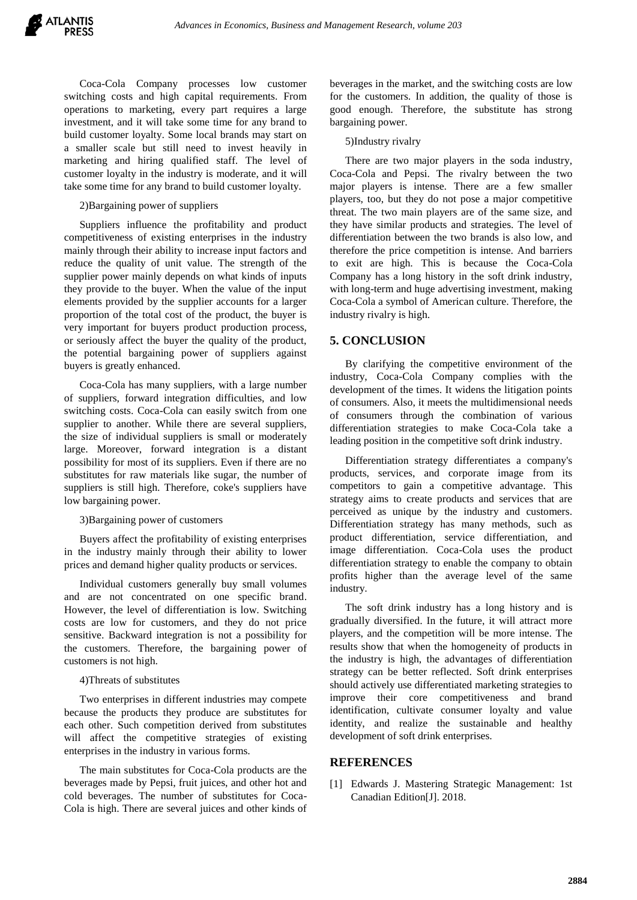Coca-Cola Company processes low customer switching costs and high capital requirements. From operations to marketing, every part requires a large investment, and it will take some time for any brand to build customer loyalty. Some local brands may start on a smaller scale but still need to invest heavily in marketing and hiring qualified staff. The level of customer loyalty in the industry is moderate, and it will take some time for any brand to build customer loyalty.

# 2)Bargaining power of suppliers

Suppliers influence the profitability and product competitiveness of existing enterprises in the industry mainly through their ability to increase input factors and reduce the quality of unit value. The strength of the supplier power mainly depends on what kinds of inputs they provide to the buyer. When the value of the input elements provided by the supplier accounts for a larger proportion of the total cost of the product, the buyer is very important for buyers product production process, or seriously affect the buyer the quality of the product, the potential bargaining power of suppliers against buyers is greatly enhanced.

Coca-Cola has many suppliers, with a large number of suppliers, forward integration difficulties, and low switching costs. Coca-Cola can easily switch from one supplier to another. While there are several suppliers, the size of individual suppliers is small or moderately large. Moreover, forward integration is a distant possibility for most of its suppliers. Even if there are no substitutes for raw materials like sugar, the number of suppliers is still high. Therefore, coke's suppliers have low bargaining power.

## 3)Bargaining power of customers

Buyers affect the profitability of existing enterprises in the industry mainly through their ability to lower prices and demand higher quality products or services.

Individual customers generally buy small volumes and are not concentrated on one specific brand. However, the level of differentiation is low. Switching costs are low for customers, and they do not price sensitive. Backward integration is not a possibility for the customers. Therefore, the bargaining power of customers is not high.

## 4)Threats of substitutes

Two enterprises in different industries may compete because the products they produce are substitutes for each other. Such competition derived from substitutes will affect the competitive strategies of existing enterprises in the industry in various forms.

The main substitutes for Coca-Cola products are the beverages made by Pepsi, fruit juices, and other hot and cold beverages. The number of substitutes for Coca-Cola is high. There are several juices and other kinds of beverages in the market, and the switching costs are low for the customers. In addition, the quality of those is good enough. Therefore, the substitute has strong bargaining power.

# 5)Industry rivalry

There are two major players in the soda industry, Coca-Cola and Pepsi. The rivalry between the two major players is intense. There are a few smaller players, too, but they do not pose a major competitive threat. The two main players are of the same size, and they have similar products and strategies. The level of differentiation between the two brands is also low, and therefore the price competition is intense. And barriers to exit are high. This is because the Coca-Cola Company has a long history in the soft drink industry, with long-term and huge advertising investment, making Coca-Cola a symbol of American culture. Therefore, the industry rivalry is high.

# **5. CONCLUSION**

By clarifying the competitive environment of the industry, Coca-Cola Company complies with the development of the times. It widens the litigation points of consumers. Also, it meets the multidimensional needs of consumers through the combination of various differentiation strategies to make Coca-Cola take a leading position in the competitive soft drink industry.

Differentiation strategy differentiates a company's products, services, and corporate image from its competitors to gain a competitive advantage. This strategy aims to create products and services that are perceived as unique by the industry and customers. Differentiation strategy has many methods, such as product differentiation, service differentiation, and image differentiation. Coca-Cola uses the product differentiation strategy to enable the company to obtain profits higher than the average level of the same industry.

The soft drink industry has a long history and is gradually diversified. In the future, it will attract more players, and the competition will be more intense. The results show that when the homogeneity of products in the industry is high, the advantages of differentiation strategy can be better reflected. Soft drink enterprises should actively use differentiated marketing strategies to improve their core competitiveness and brand identification, cultivate consumer loyalty and value identity, and realize the sustainable and healthy development of soft drink enterprises.

# **REFERENCES**

[1] Edwards J. Mastering Strategic Management: 1st Canadian Edition[J]. 2018.